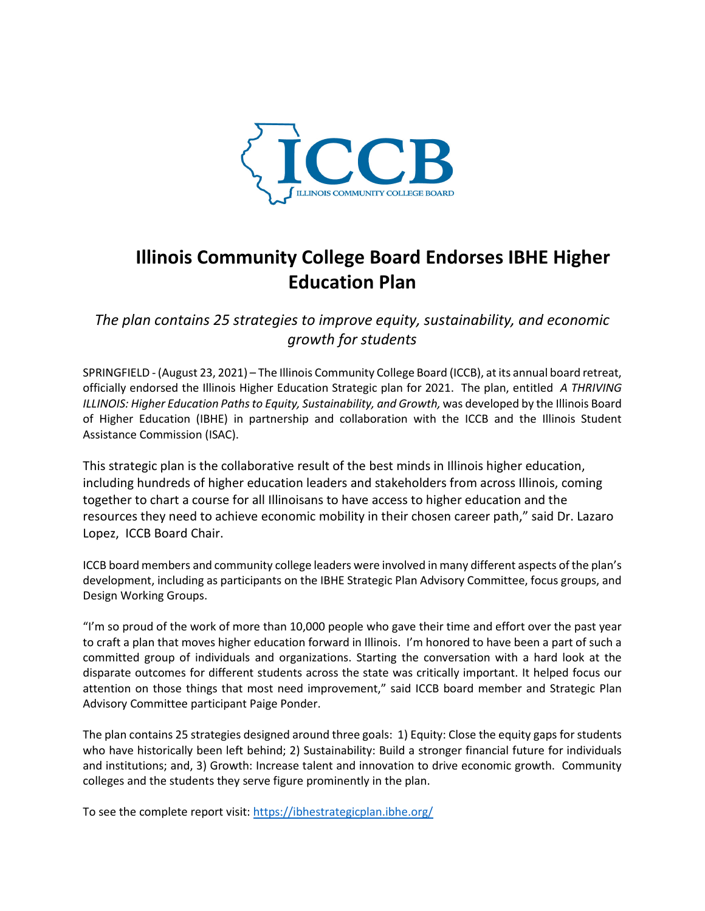

## **Illinois Community College Board Endorses IBHE Higher Education Plan**

*The plan contains 25 strategies to improve equity, sustainability, and economic growth for students*

SPRINGFIELD - (August 23, 2021) – The Illinois Community College Board (ICCB), at its annual board retreat, officially endorsed the Illinois Higher Education Strategic plan for 2021. The plan, entitled *[A THRIVING](https://ibhestrategicplan.ibhe.org/)  [ILLINOIS: Higher Education Paths to Equity, Sustainability, and Growth,](https://ibhestrategicplan.ibhe.org/) was developed by the Illinois Board* of Higher Education (IBHE) in partnership and collaboration with the ICCB and the Illinois Student Assistance Commission (ISAC).

This strategic plan is the collaborative result of the best minds in Illinois higher education, including hundreds of higher education leaders and stakeholders from across Illinois, coming together to chart a course for all Illinoisans to have access to higher education and the resources they need to achieve economic mobility in their chosen career path," said Dr. Lazaro Lopez, ICCB Board Chair.

ICCB board members and community college leaders were involved in many different aspects of the plan's development, including as participants on the IBHE Strategic Plan Advisory Committee, focus groups, and Design Working Groups.

"I'm so proud of the work of more than 10,000 people who gave their time and effort over the past year to craft a plan that moves higher education forward in Illinois. I'm honored to have been a part of such a committed group of individuals and organizations. Starting the conversation with a hard look at the disparate outcomes for different students across the state was critically important. It helped focus our attention on those things that most need improvement," said ICCB board member and Strategic Plan Advisory Committee participant Paige Ponder.

The plan contains 25 strategies designed around three goals: 1) Equity: Close the equity gaps for students who have historically been left behind; 2) Sustainability: Build a stronger financial future for individuals and institutions; and, 3) Growth: Increase talent and innovation to drive economic growth. Community colleges and the students they serve figure prominently in the plan.

To see the complete report visit:<https://ibhestrategicplan.ibhe.org/>